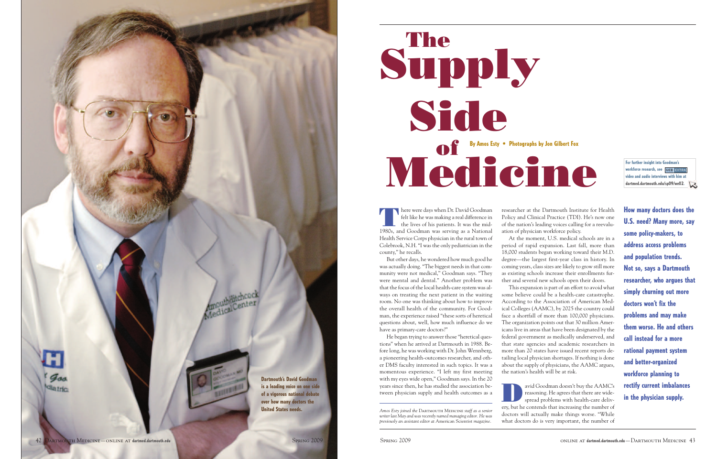felt like he was making a real difference in the lives of his patients. It was the mid-1980s, and Goodman was serving as a National Health Service Corps physician in the rural town of Colebrook, N.H. "I was the only pediatrician in the county," he recalls.

But other days, he wondered how much good he was actually doing. "The biggest needs in that community were not medical," Goodman says. "They were mental and dental." Another problem was that the focus of the local health-care system was always on treating the next patient in the waiting room. No one was thinking about how to improve the overall health of the community. For Goodman, the experience raised "these sorts of heretical questions about, well, how much influence do we have as primary-care doctors?"

Amos Esty joined the DARTMOUTH MEDICINE staff as a senior *writer last May and was recently named managing editor. He was previously an assistant editor at* American Scientist *magazine.*

He began trying to answer those "heretical questions" when he arrived at Dartmouth in 1988. Before long, he was working with Dr. John Wennberg, a pioneering health-outcomes researcher, and other DMS faculty interested in such topics. It was a momentous experience. "I left my first meeting with my eyes wide open," Goodman says. In the 20 years since then, he has studied the association between physician supply and health outcomes as a

avid Goodman doesn't buy the AAMC's reasoning. He agrees that there are widespread problems with health-care delivery, but he contends that increasing the number of doctors will actually make things worse. "While what doctors do is very important, the number of





researcher at the Dartmouth Institute for Health Policy and Clinical Practice (TDI). He's now one of the nation's leading voices calling for a reevaluation of physician workforce policy.

# **Supply By Amos Esty • Photographs by Jon Gilbert Fox The Side Medicine of**

At the moment, U.S. medical schools are in a period of rapid expansion. Last fall, more than 18,000 students began working toward their M.D. degree—the largest first-year class in history. In coming years, class sizes are likely to grow still more as existing schools increase their enrollments further and several new schools open their doors.



This expansion is part of an effort to avoid what some believe could be a health-care catastrophe. According to the Association of American Medical Colleges (AAMC), by 2025 the country could face a shortfall of more than 100,000 physicians. The organization points out that 30 million Americans live in areas that have been designated by the federal government as medically underserved, and that state agencies and academic researchers in more than 20 states have issued recent reports detailing local physician shortages. If nothing is done about the supply of physicians, the AAMC argues, the nation's health will be at risk.

**How many doctors does the U.S. need? Many more, say some policy-makers, to address access problems and population trends. Not so, says a Dartmouth researcher, who argues that simply churning out more doctors won't fix the problems and may make them worse. He and others call instead for a more rational payment system and better-organized workforce planning to rectify current imbalances in the physician supply.**

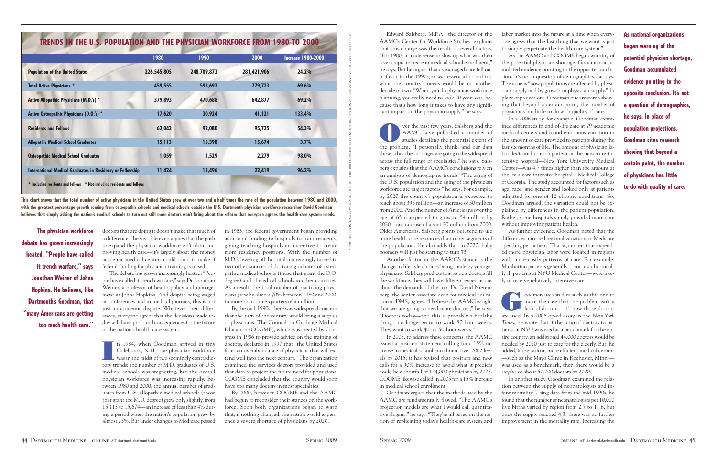Edward Salsberg, M.P.A., the director of the AAMC's Center for Workforce Studies, explains that this change was the result of several factors. "For 1980, it made sense to slow up what was then a very rapid increase in medical school enrollment," he says. But he argues that as managed care fell out of favor in the 1990s, it was essential to rethink what the country's needs would be in another decade or two. "When you do physician workforce planning, you really need to look 20 years out, because that's how long it takes to have any significant impact on the physician supply," he says.

ver the past few years, Salsberg and the AAMC have published a number of studies detailing the potential extent of the problem. "I personally think, and our data shows, that the shortages are going to be widespread across the full range of specialties," he says. Salsberg explains that the AAMC's conclusions rely on an analysis of demographic trends. "The aging of the U.S. population and the aging of the physician workforce are major factors," he says. For example, by 2020 the country's population is expected to reach about 335 million—an increase of 50 million from 2000. And the number of Americans over the age of 65 is expected to grow to 54 million by 2020—an increase of about 20 million from 2000. Older Americans, Salsberg points out, tend to use more health-care resources than other segments of the population. He also adds that in 2020, baby boomers will just be starting to turn 75.

Another factor in the AAMC's stance is the change in lifestyle choices being made by younger physicians. Salsberg predicts that as new doctors fill the workforce, they will have different expectations about the demands of the job. Dr. David Nierenberg, the senior associate dean for medical education at DMS, agrees. "I believe the AAMC is right that we are going to need more doctors," he says. "Doctors today—and this is probably a healthy thing—no longer want to work 80-hour weeks. They want to work 40- or 50-hour weeks."

In 2005, to address these concerns, the AAMC issued a position statement calling for a 15% increase in medical school enrollment over 2002 levels by 2015; it has revised that position and now calls for a 30% increase to avoid what it predicts could be a shortfall of 124,000 physicians by 2025. COGME likewise called in 2005 for a 15% increase in medical school enrollment.

oodman uses studies such as this one to make the case that the problem isn't a lack of doctors—it's how those doctors make the case that the problem isn't a lack of doctors—it's how those doctors are used. In a 2006 op-ed essay in the *New York Times*, he wrote that if the ratio of doctors to patients at NYU was used as a benchmark for the entire country, an additional 44,000 doctors would be needed by 2020 just to care for the elderly. But, he added, if the ratio at more efficient medical centers —such as the Mayo Clinic in Rochester, Minn. was used as a benchmark, then there would be a *surplus* of about 50,000 doctors by 2020.

Goodman argues that the methods used by the AAMC are fundamentally flawed. "The AAMC's projection models are what I would call quantitative slogans," he says. "They're all based on the notion of replicating today's health-care system and labor market into the future at a time when everyone agrees that the last thing that we want is just to simply perpetuate the health-care system."

As the AAMC and COGME began warning of the potential physician shortage, Goodman accumulated evidence pointing to the opposite conclusion. It's not a question of demographics, he says. The issue is "how populations are affected by physician supply and by growth in physician supply." In place of projections, Goodman cites research showing that beyond a certain point, the number of physicians has little to do with quality of care.

In a 2006 study, for example, Goodman examined differences in end-of-life care at 79 academic medical centers and found enormous variation in the amount of care provided to patients during the last six months of life. The amount of physician labor dedicated to each patient at the most-care-intensive hospital—New York University Medical Center—was 4.7 times higher than the amount at the least-care-intensive hospital—Medical College of Georgia. The study accounted for factors such as age, race, and gender and looked only at patients admitted for one of 12 chronic conditions. So, Goodman argued, the variation could not be explained by differences in the patient population. Rather, some hospitals simply provided more care without improving patient health.

As further evidence, Goodman noted that the differences mirrored regional variations in Medicare spending per patient. That is, centers that expended more physician labor were located in regions with more-costly patterns of care. For example, Manhattan patients generally—not just chronically ill patients at NYU Medical Center—were likely to receive relatively intensive care.



In another study, Goodman examined the relation between the supply of neonatologists and infant mortality. Using data from the mid-1990s, he found that the number of neonatologists per 10,000 live births varied by region from 2.7 to 11.6, but once the supply reached 4.3, there was no further improvement in the mortality rate. Increasing the

**As national organizations began warning of the potential physician shortage, Goodman accumulated evidence pointing to the opposite conclusion. It's not a question of demographics, he says. In place of population projections, Goodman cites research showing that beyond a certain point, the number of physicians has little to do with quality of care.**

in 1983, the federal government began providing additional funding to hospitals to train residents, giving teaching hospitals an incentive to create more residency positions. With the number of M.D.'s leveling off, hospitals increasingly turned to two other sources of doctors: graduates of osteopathic medical schools (those that grant the D.O. degree) and of medical schools in other countries. As a result, the total number of practicing physicians grew by almost 70% between 1980 and 2000, to more than three-quarters of a million.

By the mid-1990s, there was widespread concern that the turn of the century would bring a surplus of physicians. The Council on Graduate Medical Education (COGME), which was created by Congress in 1986 to provide advice on the training of doctors, declared in 1997 that "the United States faces an overabundance of physicians that will extend well into the next century." The organization examined the services doctors provided and used that data to project the future need for physicians. COGME concluded that the country would soon have too many doctors in most specialties.

By 2000, however, COGME and the AAMC had begun to reconsider their stances on the workforce. Soon both organizations began to warn that, if nothing changed, the nation would experience a severe shortage of physicians by 2020.

doctors that are doing it doesn't make that much of a difference," he says. He even argues that the push to expand the physician workforce isn't about improving health care—it's largely about the money academic medical centers could stand to make if federal funding for physician training is raised.

The debate has grown increasingly heated. "People have called it trench warfare," says Dr. Jonathan Weiner, a professor of health policy and management at Johns Hopkins. And despite being waged at conferences and in medical journals, this is not just an academic dispute. Whatever their differences, everyone agrees that the decisions made today will have profound consequences for the future of the nation's health-care system.

**I** n 1984, when Goodman arrived in tiny Colebrook, N.H., the physician workforce was in the midst of two seemingly contradictory trends: the number of M.D. graduates of U.S. medical schools was stagnating, but the overall physician workforce was increasing rapidly. Between 1980 and 2000, the annual number of graduates from U.S. allopathic medical schools (those that grant the M.D. degree) grew only slightly, from 15,113 to 15,674—an increase of less than 4% during a period when the nation's population grew by almost 25%. But under changes to Medicare passed

**This chart shows that the total number of active physicians in the United States grew at over two and a half times the rate of the population between 1980 and 2000, with the greatest percentage growth coming from osteopathic schools and medical schools outside the U.S. Dartmouth physician workforce researcher David Goodman believes that simply asking the nation's medical schools to turn out still more doctors won't bring about the reform that everyone agrees the health-care system needs.**

**The physician workforce debate has grown increasingly heated. "People have called it trench warfare," says Jonathan Weiner of Johns Hopkins. He believes, like Dartmouth's Goodman, that "many Americans are getting too much health care."**

SOURCES:U.S.CENSUS

BUREAUANDSALSBERGANDFORTE,

> "TRENDS $\overline{z}$ THEPHYSICIAN

WORKFORCE,

1980-2000,"

*HEALTH*

 *AFFAIRS* 21, NO.ال (2002):165-173

|                                                            | 1980        | 1990        | 2000        | <b>Increase 1980-2000</b> |
|------------------------------------------------------------|-------------|-------------|-------------|---------------------------|
| <b>Population of the United States</b>                     | 226,545,805 | 248,709,873 | 281,421,906 | 24.2%                     |
| <b>Total Active Physicians +</b>                           | 459,555     | 593,692     | 779,723     | 69.6%                     |
| Active Allopathic Physicians (M.D.'s) *                    | 379,893     | 470,688     | 642,877     | 69.2%                     |
| Active Osteopathic Physicians (D.O.'s) *                   | 17,620      | 30,924      | 41,121      | 133.4%                    |
| <b>Residents and Fellows</b>                               | 62,042      | 92,080      | 95,725      | 54.3%                     |
| <b>Allopathic Medical School Graduates</b>                 | 15,113      | 15,398      | 15,674      | 3.7%                      |
| <b>Osteopathic Medical School Graduates</b>                | 1,059       | 1,529       | 2,279       | 98.0%                     |
| International Medical Graduates in Residency or Fellowship | 11,424      | 13,496      | 22,419      | 96.2%                     |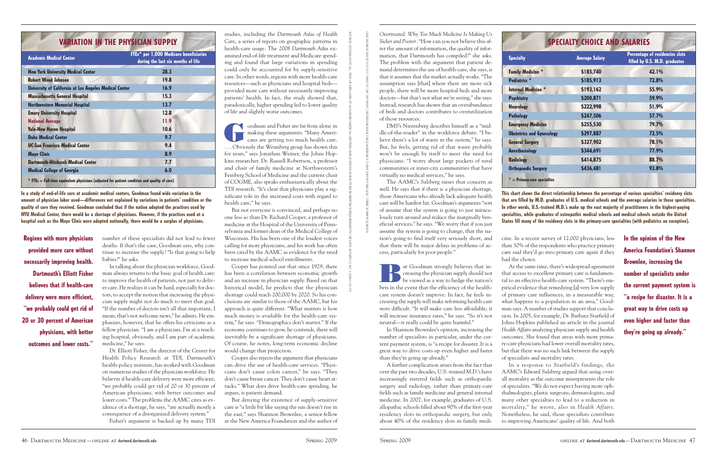*Overtreated: Why Too Much Medicine Is Making Us Sicker and Poorer*. "How can you not believe this after the amount of information, the quality of information, that Dartmouth has compiled?" she asks. The problem with the argument that patient demand determines the use of health-care, she says, is that it assumes that the market actually works. "The assumption says [that] where there are more sick people, there will be more hospital beds and more doctors—but that's not what we're seeing," she says. Instead, research has shown that an overabundance of beds and doctors contributes to overutilization of those resources.

DMS's Nierenberg describes himself as a "middle-of-the-roader" in the workforce debate. "I believe there's a lot of waste in the system," he says. But, he feels, getting rid of that waste probably won't be enough by itself to meet the need for physicians. "I worry about large pockets of rural communities or inner-city communities that have virtually no medical services," he says.

IV ut Goodman strongly believes that in-<br>reasing the physician supply should not<br>be viewed as a way to hedge the nation's creasing the physician supply should not be viewed as a way to hedge the nation's bets in the event that the efficiency of the healthcare system doesn't improve. In fact, he feels increasing the supply will make reforming health care *more* difficult. "It will make care less affordable; it will increase insurance rates," he says. "So it's not neutral—it really could be quite harmful."

The AAMC's Salsberg raises that concern as well. He says that if there is a physician shortage, those Americans who already lack adequate health care will be hardest hit. Goodman's arguments "sort of assume that the system is going to just miraculously turn around and reduce the marginally beneficial services," he says. "We worry that if you just assume the system is going to change, that the nation's going to find itself very seriously short, and that there will be major delays in problems of access, particularly for poor people."

In Shannon Brownlee's opinion, increasing the number of specialists in particular, under the current payment system, is "a recipe for disaster. It is a great way to drive costs up even higher and faster than they're going up already."

A further complication arises from the fact that over the past two decades, U.S.-trained M.D.'s have increasingly entered fields such as orthopaedic surgery and radiology, rather than primary-care fields such as family medicine and general internal medicine. In 2007, for example, graduates of U.S. allopathic schools filled about 90% of the first-year residency slots in orthopaedic surgery, but only about 40% of the residency slots in family medi-



oodman and Fisher are far from alone in making these arguments. "Many Americans are getting too much health care. making these arguments. "Many Americans are getting too much health care. ... Obviously the Wennberg group has shown this for years," says Jonathan Weiner, the Johns Hopkins researcher. Dr. Russell Robertson, a professor and chair of family medicine at Northwestern's Feinberg School of Medicine and the current chair of COGME, also speaks enthusiastically about the TDI research. "It's clear that physicians play a significant role in the increased costs with regard to health care," he says.

> cine. In a recent survey of 12,000 physicians, less than 30% of the respondents who practice primary care said they'd go into primary care again if they

had the choice.

At the same time, there's widespread agreement that access to excellent primary care is fundamental to an effective health-care system. "There's empirical evidence that remedying [a] very low supply of primary care influences, in a measurable way, what happens to a population in an area," Goodman says. A number of studies support that conclusion. In 2005, for example, Dr. Barbara Starfield of Johns Hopkins published an article in the journal *Health Affairs* analyzing physician supply and health outcomes. She found that areas with more primary-care physicians had lower overall mortality rates, but that there was no such link between the supply of specialists and mortality rates.

In a response to Starfield's findings, the AAMC's Edward Salsberg argued that using overall mortality as the outcome misrepresents the role of specialists. "We do not expect having more ophthalmologists, plastic surgeons, dermatologists, and many other specialties to lead to a reduction in mortality," he wrote, also in *Health Affairs*. Nonetheless, he said, those specialists contribute to improving Americans' quality of life. And both

studies, including the *Dartmouth Atlas of Health Care*, a series of reports on geographic patterns in health-care usage. The 2008 *Dartmouth Atlas* examined end-of-life treatment and Medicare spending and found that large variations in spending could only be accounted for by supply-sensitive care. In other words, regions with more health-care resources—such as physicians and hospital beds provided more care without necessarily improving patients' health. In fact, the study showed that, paradoxically, higher spending led to lower quality of life and slightly worse outcomes.

**Psychiatry \$200,871 59.9% Emergenc**  $$ 

But not everyone is convinced, and perhaps no one less so than Dr. Richard Cooper, a professor of medicine at the Hospital of the University of Pennsylvania and former dean of the Medical College of Wisconsin. His has been one of the loudest voices calling for more physicians, and his work has often been cited by the AAMC as evidence for the need to increase medical school enrollments.

Cooper has pointed out that since 1929, there has been a correlation between economic growth and an increase in physician supply. Based on that historical model, he predicts that the physician shortage could reach 200,000 by 2020. So his conclusions are similar to those of the AAMC, but his approach is quite different. "What matters is how much money is available for the health-care system," he says. "Demographics don't matter." If the economy continues to grow, he contends, there will inevitably be a significant shortage of physicians. Of course, he notes, long-term economic decline would change that projection.

Cooper also rejects the argument that physicians can drive the use of health-care services. "Physicians don't cause colon cancer," he says. "They don't cause breast cancer. They don't cause heart attacks." What does drive health-care spending, he argues, is patient demand.

But denying the existence of supply-sensitive care is "a little bit like saying the sun doesn't rise in the east," says Shannon Brownlee, a senior fellow at the New America Foundation and the author of

number of these specialists did not lead to fewer deaths. If that's the case, Goodman says, why continue to increase the supply? "Is that going to help babies?" he asks.

In talking about the physician workforce, Goodman always returns to the basic goal of health care: to improve the health of patients, not just to deliver care. He realizes it can be hard, especially for doctors, to accept the notion that increasing the physician supply might not do much to meet that goal. "If the number of doctors isn't all that important, I mean, that's not welcome news," he admits. He emphasizes, however, that he offers his criticisms as a fellow physician. "I am a physician, I'm at a teaching hospital, obviously, and I am part of academic medicine," he says.

Dr. Elliott Fisher, the director of the Center for Health Policy Research at TDI, Dartmouth's health-policy institute, has worked with Goodman on numerous studies of the physician workforce. He believes if health-care delivery were more efficient, "we probably could get rid of 20 or 30 percent of American physicians, with better outcomes and lower costs." The problems the AAMC cites as evidence of a shortage, he says, "are actually mostly a consequence of a disorganized delivery system."

Fisher's argument is backed up by many TDI

**In a study of end-of-life care at academic medical centers, Goodman found wide variation in the amount of physician labor used—differences not explained by variations in patients' condition or the quality of care they received. Goodman concluded that if the nation adopted the practices used by NYU Medical Center, there would be a shortage of physicians. However, if the practices used at a hospital such as the Mayo Clinic were adopted nationally, there would be a surplus of physicians.**

**Regions with more physicians provided more care without necessarily improving health. Dartmouth's Elliott Fisher believes that if health-care delivery were more efficient, "we probably could get rid of 20 or 30 percent of American physicians, with better outcomes and lower costs."**

**In the opinion of the New America Foundation's Shannon Brownlee, increasing the number of specialists under the current payment system is "a recipe for disaster. It is a great way to drive costs up even higher and faster than they're going up already."**

SOURCE:

GOODMANETAL.,

"END-OF-LIFE

CAREATACADEMIC

MEDICAL

CENTERS:

IMPLICATIONS

FORFUTURE

WORKFORCE

REQUIREMENTS,"

*HEALTH*

 *AFFAIRS* 25, NO.(2006):521-531

SOURCE: MARK H. EBELL, "FUTURE SALARY AND U.S. RESIDENCY FILL RATE REVISITED," JAMA 300, NO. 10 (2008): 1131-1132 (DATA IS FROM 2007)

|                         |  | <b>VARIATION IN THE PHYSICIAN SUPPLY</b> |                                                                                                             |  |
|-------------------------|--|------------------------------------------|-------------------------------------------------------------------------------------------------------------|--|
|                         |  |                                          | FTEs* per 1,000 Medicare beneficiaries                                                                      |  |
| Academic Medical Center |  |                                          | $\mathbf{r}$ , and $\mathbf{r}$ , and $\mathbf{r}$ , and $\mathbf{r}$ , and $\mathbf{r}$ , and $\mathbf{r}$ |  |

| Academic Medical Center                                                                       | during the last six months of life |
|-----------------------------------------------------------------------------------------------|------------------------------------|
| <b>New York University Medical Center</b>                                                     | 28.3                               |
| <b>Robert Wood Johnson</b>                                                                    | 19.8                               |
| University of California at Los Angeles Medical Center                                        | 16.9                               |
| <b>Massachusetts General Hospital</b>                                                         | 15.3                               |
| <b>Northwestern Memorial Hospital</b>                                                         | 13.7                               |
| <b>Emory University Hospital</b>                                                              | 12.8                               |
| <b>National Average</b>                                                                       | 11.9                               |
| <b>Yale-New Haven Hospital</b>                                                                | 10.6                               |
| <b>Duke Medical Center</b>                                                                    | 9.7                                |
| <b>UC-San Francisco Medical Center</b>                                                        | 9.4                                |
| Mayo Clinic                                                                                   | 8.9                                |
| <b>Dartmouth-Hitchcock Medical Center</b>                                                     | 7.7                                |
| <b>Medical College of Georgia</b>                                                             | 6.0                                |
| * FTEs = Full-time equivalent physicians (adjusted for patient condition and quality of care) |                                    |

**This chart shows the direct relationship between the percentage of various specialties' residency slots that are filled by M.D. graduates of U.S. medical schools and the average salaries in those specialties. In other words, U.S.-trained M.D.'s make up the vast majority of practitioners in the highest-paying specialties, while graduates of osteopathic medical schools and medical schools outside the United States fill many of the residency slots in the primary-care specialties (with pediatrics an exception).**

| <b>Specialty</b>                 | <b>Average Salary</b> | <b>Percentage of residencies slots</b><br>filled by U.S. M.D. graduates |
|----------------------------------|-----------------------|-------------------------------------------------------------------------|
| <b>Family Medicine *</b>         | \$185,740             | 42.1%                                                                   |
| Pediatrics *                     | \$185,913             | 72.8%                                                                   |
| Internal Medicine *              | \$193,162             | 55.9%                                                                   |
| <b>Psychiatry</b>                | \$200,871             | 59.9%                                                                   |
| <b>Neurology</b>                 | \$222,998             | 51.9%                                                                   |
| <b>Pathology</b>                 | \$247,506             | 57.7%                                                                   |
| <b>Emergency Medicine</b>        | \$255,530             | 79.7%                                                                   |
| <b>Obstetrics and Gynecology</b> | \$297,887             | 72.5%                                                                   |
| <b>General Surgery</b>           | \$327,902             | 78.1%                                                                   |
| <b>Anesthesiology</b>            | \$344,691             | 77.9%                                                                   |
| <b>Radiology</b>                 | \$414,875             | 88.7%                                                                   |
| <b>Orthopaedic Surgery</b>       | \$436,481             | 93.8%                                                                   |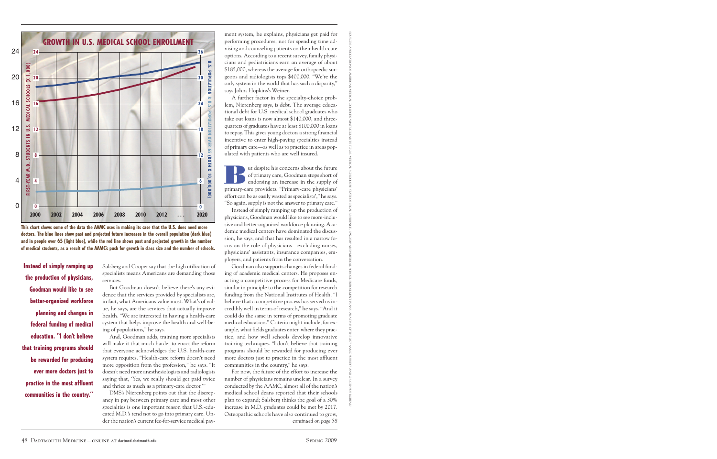ment system, he explains, physicians get paid for performing procedures, not for spending time advising and counseling patients on their health-care options. According to a recent survey, family physicians and pediatricians earn an average of about \$185,000, whereas the average for orthopaedic surgeons and radiologists tops \$400,000. "We're the only system in the world that has such a disparity," says Johns Hopkins's Weiner.

**But despite his concerns about the future**<br>of primary care, Goodman stops short of<br>endorsing an increase in the supply of of primary care, Goodman stops short of endorsing an increase in the supply of primary-care providers. "Primary-care physicians' effort can be as easily wasted as specialists'," he says. "So again, supply is not the answer to primary care."

A further factor in the specialty-choice problem, Nierenberg says, is debt. The average educational debt for U.S. medical school graduates who take out loans is now almost \$140,000, and threequarters of graduates have at least \$100,000 in loans to repay. This gives young doctors a strong financial incentive to enter high-paying specialties instead of primary care—as well as to practice in areas populated with patients who are well insured.

Instead of simply ramping up the production of physicians, Goodman would like to see more-inclusive and better-organized workforce planning. Academic medical centers have dominated the discussion, he says, and that has resulted in a narrow focus on the role of physicians—excluding nurses, physicians' assistants, insurance companies, employers, and patients from the conversation.

Goodman also supports changes in federal funding of academic medical centers. He proposes enacting a competitive process for Medicare funds, similar in principle to the competition for research funding from the National Institutes of Health. "I believe that a competitive process has served us incredibly well in terms of research," he says. "And it could do the same in terms of promoting graduate medical education." Criteria might include, for example, what fields graduates enter, where they practice, and how well schools develop innovative training techniques. "I don't believe that training programs should be rewarded for producing ever more doctors just to practice in the most affluent communities in the country," he says.

Salsberg and Cooper say that the high utilization of specialists means Americans are demanding those services.

But Goodman doesn't believe there's any evidence that the services provided by specialists are, in fact, what Americans value most. What's of value, he says, are the services that actually improve health. "We are interested in having a health-care system that helps improve the health and well-being of populations," he says.

And, Goodman adds, training more specialists will make it that much harder to enact the reform that everyone acknowledges the U.S. health-care system requires. "Health-care reform doesn't need more opposition from the profession," he says. "It doesn't need more anesthesiologists and radiologists saying that, 'Yes, we really should get paid twice and thrice as much as a primary-care doctor.'"

For now, the future of the effort to increase the number of physicians remains unclear. In a survey conducted by the AAMC, almost all of the nation's medical school deans reported that their schools plan to expand; Salsberg thinks the goal of a 30% increase in M.D. graduates could be met by 2017. Osteopathic schools have also continued to grow, *continued on page 58*

DMS's Nierenberg points out that the discrepancy in pay between primary care and most other specialties is one important reason that U.S.-educated M.D.'s tend not to go into primary care. Under the nation's current fee-for-service medical pay-



**Instead of simply ramping up the production of physicians, Goodman would like to see better-organized workforce planning and changes in federal funding of medical education. "I don't believe that training programs should be rewarded for producing ever more doctors just to practice in the most affluent communities in the country."**

SOURCES:

ASSOCIATION

OFAMERICAN

MEDICALCOLLEGES,"MATRICULANTSTOU.S.MEDICALSCHOOLSBYSTATEOFLEGALRESIDENCE,1997-2008"AND"MEDICALSCHOOLENROLLMENTPLANS:ANALYSISOFTHE2007AAMCSURVEY,"ANDU.S.

CENSUS

BUREAU